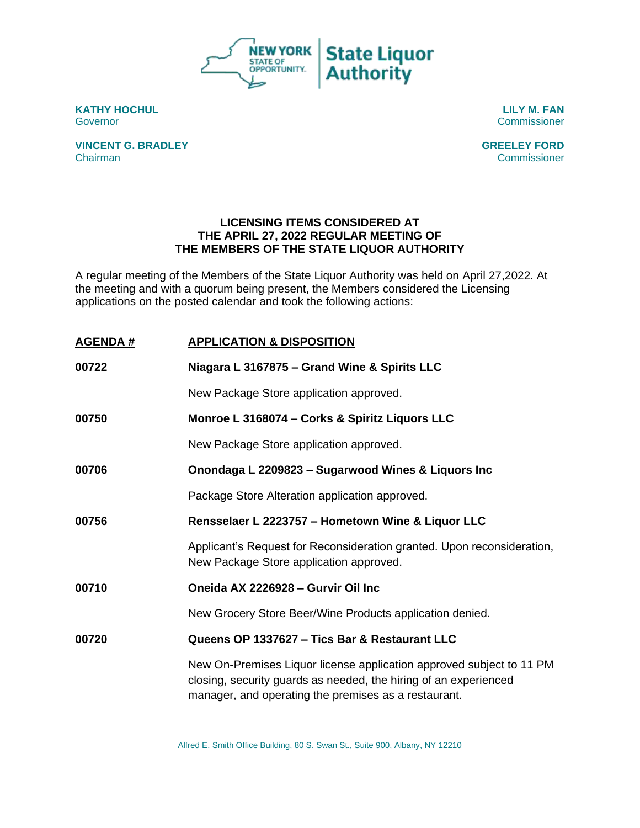

**KATHY HOCHUL LILY M. FAN** Governor Commissioner

**VINCENT G. BRADLEY GREELEY FORD** Chairman Commissioner

## **LICENSING ITEMS CONSIDERED AT THE APRIL 27, 2022 REGULAR MEETING OF THE MEMBERS OF THE STATE LIQUOR AUTHORITY**

A regular meeting of the Members of the State Liquor Authority was held on April 27,2022. At the meeting and with a quorum being present, the Members considered the Licensing applications on the posted calendar and took the following actions:

| <b>AGENDA#</b> | <b>APPLICATION &amp; DISPOSITION</b>                                                                                                                                                             |
|----------------|--------------------------------------------------------------------------------------------------------------------------------------------------------------------------------------------------|
| 00722          | Niagara L 3167875 - Grand Wine & Spirits LLC                                                                                                                                                     |
|                | New Package Store application approved.                                                                                                                                                          |
| 00750          | Monroe L 3168074 - Corks & Spiritz Liquors LLC                                                                                                                                                   |
|                | New Package Store application approved.                                                                                                                                                          |
| 00706          | Onondaga L 2209823 - Sugarwood Wines & Liquors Inc                                                                                                                                               |
|                | Package Store Alteration application approved.                                                                                                                                                   |
| 00756          | Rensselaer L 2223757 - Hometown Wine & Liquor LLC                                                                                                                                                |
|                | Applicant's Request for Reconsideration granted. Upon reconsideration,<br>New Package Store application approved.                                                                                |
| 00710          | Oneida AX 2226928 - Gurvir Oil Inc                                                                                                                                                               |
|                | New Grocery Store Beer/Wine Products application denied.                                                                                                                                         |
| 00720          | Queens OP 1337627 - Tics Bar & Restaurant LLC                                                                                                                                                    |
|                | New On-Premises Liquor license application approved subject to 11 PM<br>closing, security guards as needed, the hiring of an experienced<br>manager, and operating the premises as a restaurant. |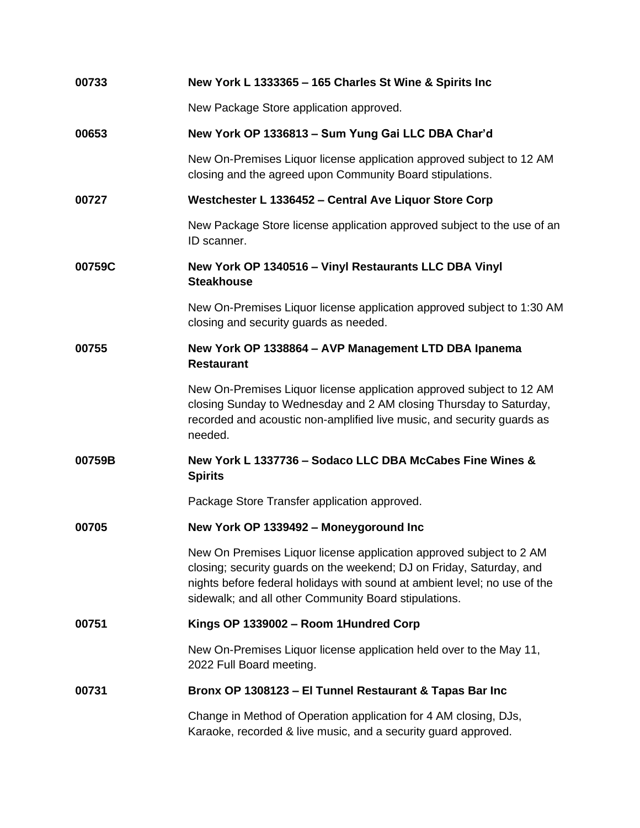| 00733  | New York L 1333365 - 165 Charles St Wine & Spirits Inc                                                                                                                                                                                                                            |
|--------|-----------------------------------------------------------------------------------------------------------------------------------------------------------------------------------------------------------------------------------------------------------------------------------|
|        | New Package Store application approved.                                                                                                                                                                                                                                           |
| 00653  | New York OP 1336813 - Sum Yung Gai LLC DBA Char'd                                                                                                                                                                                                                                 |
|        | New On-Premises Liquor license application approved subject to 12 AM<br>closing and the agreed upon Community Board stipulations.                                                                                                                                                 |
| 00727  | Westchester L 1336452 - Central Ave Liquor Store Corp                                                                                                                                                                                                                             |
|        | New Package Store license application approved subject to the use of an<br>ID scanner.                                                                                                                                                                                            |
| 00759C | New York OP 1340516 - Vinyl Restaurants LLC DBA Vinyl<br><b>Steakhouse</b>                                                                                                                                                                                                        |
|        | New On-Premises Liquor license application approved subject to 1:30 AM<br>closing and security guards as needed.                                                                                                                                                                  |
| 00755  | New York OP 1338864 - AVP Management LTD DBA Ipanema<br><b>Restaurant</b>                                                                                                                                                                                                         |
|        | New On-Premises Liquor license application approved subject to 12 AM<br>closing Sunday to Wednesday and 2 AM closing Thursday to Saturday,<br>recorded and acoustic non-amplified live music, and security guards as<br>needed.                                                   |
| 00759B | New York L 1337736 - Sodaco LLC DBA McCabes Fine Wines &<br><b>Spirits</b>                                                                                                                                                                                                        |
|        | Package Store Transfer application approved.                                                                                                                                                                                                                                      |
| 00705  | New York OP 1339492 - Moneygoround Inc                                                                                                                                                                                                                                            |
|        | New On Premises Liquor license application approved subject to 2 AM<br>closing; security guards on the weekend; DJ on Friday, Saturday, and<br>nights before federal holidays with sound at ambient level; no use of the<br>sidewalk; and all other Community Board stipulations. |
| 00751  | Kings OP 1339002 - Room 1Hundred Corp                                                                                                                                                                                                                                             |
|        | New On-Premises Liquor license application held over to the May 11,<br>2022 Full Board meeting.                                                                                                                                                                                   |
| 00731  | Bronx OP 1308123 - El Tunnel Restaurant & Tapas Bar Inc                                                                                                                                                                                                                           |
|        | Change in Method of Operation application for 4 AM closing, DJs,<br>Karaoke, recorded & live music, and a security guard approved.                                                                                                                                                |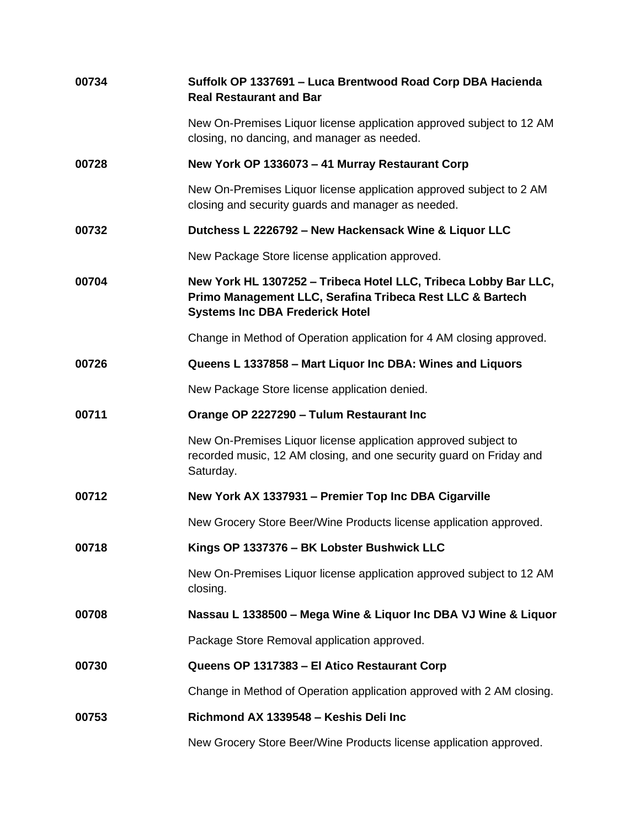| 00734 | Suffolk OP 1337691 - Luca Brentwood Road Corp DBA Hacienda<br><b>Real Restaurant and Bar</b>                                                                           |
|-------|------------------------------------------------------------------------------------------------------------------------------------------------------------------------|
|       | New On-Premises Liquor license application approved subject to 12 AM<br>closing, no dancing, and manager as needed.                                                    |
| 00728 | New York OP 1336073 - 41 Murray Restaurant Corp                                                                                                                        |
|       | New On-Premises Liquor license application approved subject to 2 AM<br>closing and security guards and manager as needed.                                              |
| 00732 | Dutchess L 2226792 - New Hackensack Wine & Liquor LLC                                                                                                                  |
|       | New Package Store license application approved.                                                                                                                        |
| 00704 | New York HL 1307252 - Tribeca Hotel LLC, Tribeca Lobby Bar LLC,<br>Primo Management LLC, Serafina Tribeca Rest LLC & Bartech<br><b>Systems Inc DBA Frederick Hotel</b> |
|       | Change in Method of Operation application for 4 AM closing approved.                                                                                                   |
| 00726 | Queens L 1337858 - Mart Liquor Inc DBA: Wines and Liquors                                                                                                              |
|       | New Package Store license application denied.                                                                                                                          |
| 00711 | Orange OP 2227290 - Tulum Restaurant Inc                                                                                                                               |
|       | New On-Premises Liquor license application approved subject to<br>recorded music, 12 AM closing, and one security guard on Friday and<br>Saturday.                     |
| 00712 | New York AX 1337931 - Premier Top Inc DBA Cigarville                                                                                                                   |
|       | New Grocery Store Beer/Wine Products license application approved.                                                                                                     |
| 00718 | Kings OP 1337376 - BK Lobster Bushwick LLC                                                                                                                             |
|       | New On-Premises Liquor license application approved subject to 12 AM<br>closing.                                                                                       |
| 00708 | Nassau L 1338500 - Mega Wine & Liquor Inc DBA VJ Wine & Liquor                                                                                                         |
|       | Package Store Removal application approved.                                                                                                                            |
| 00730 | Queens OP 1317383 - El Atico Restaurant Corp                                                                                                                           |
|       | Change in Method of Operation application approved with 2 AM closing.                                                                                                  |
| 00753 | Richmond AX 1339548 - Keshis Deli Inc                                                                                                                                  |
|       | New Grocery Store Beer/Wine Products license application approved.                                                                                                     |